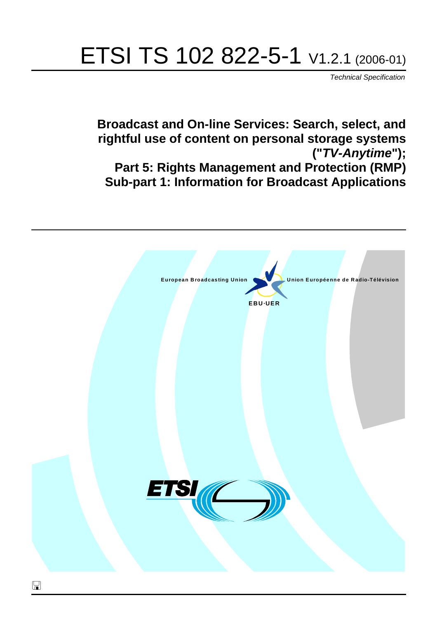# ETSI TS 102 822-5-1 V1.2.1 (2006-01)

Technical Specification

**Broadcast and On-line Services: Search, select, and rightful use of content on personal storage systems ("TV-Anytime"); Part 5: Rights Management and Protection (RMP) Sub-part 1: Information for Broadcast Applications**

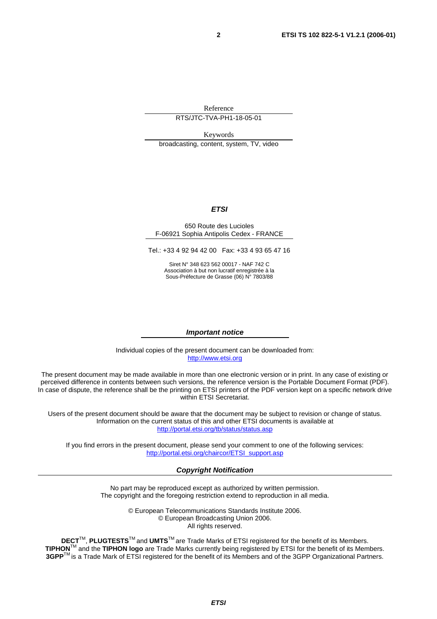Reference

RTS/JTC-TVA-PH1-18-05-01

Keywords

broadcasting, content, system, TV, video

#### **ETSI**

#### 650 Route des Lucioles F-06921 Sophia Antipolis Cedex - FRANCE

Tel.: +33 4 92 94 42 00 Fax: +33 4 93 65 47 16

Siret N° 348 623 562 00017 - NAF 742 C Association à but non lucratif enregistrée à la Sous-Préfecture de Grasse (06) N° 7803/88

#### **Important notice**

Individual copies of the present document can be downloaded from: [http://www.etsi.org](http://www.etsi.org/)

The present document may be made available in more than one electronic version or in print. In any case of existing or perceived difference in contents between such versions, the reference version is the Portable Document Format (PDF). In case of dispute, the reference shall be the printing on ETSI printers of the PDF version kept on a specific network drive within ETSI Secretariat.

Users of the present document should be aware that the document may be subject to revision or change of status. Information on the current status of this and other ETSI documents is available at <http://portal.etsi.org/tb/status/status.asp>

If you find errors in the present document, please send your comment to one of the following services: [http://portal.etsi.org/chaircor/ETSI\\_support.asp](http://portal.etsi.org/chaircor/ETSI_support.asp)

#### **Copyright Notification**

No part may be reproduced except as authorized by written permission. The copyright and the foregoing restriction extend to reproduction in all media.

> © European Telecommunications Standards Institute 2006. © European Broadcasting Union 2006. All rights reserved.

**DECT**TM, **PLUGTESTS**TM and **UMTS**TM are Trade Marks of ETSI registered for the benefit of its Members. **TIPHON**TM and the **TIPHON logo** are Trade Marks currently being registered by ETSI for the benefit of its Members. **3GPP**TM is a Trade Mark of ETSI registered for the benefit of its Members and of the 3GPP Organizational Partners.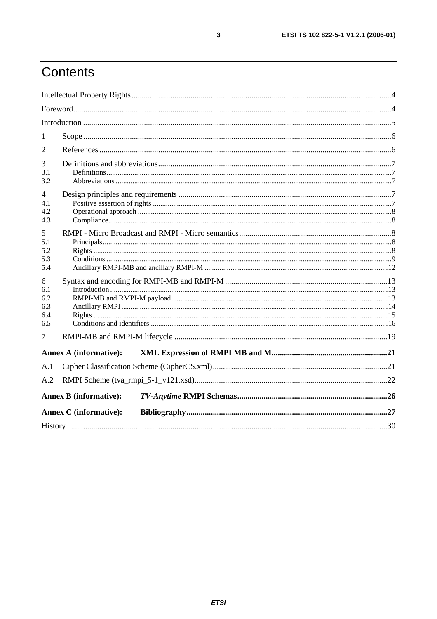# Contents

| 1                                    |                               |  |
|--------------------------------------|-------------------------------|--|
| 2                                    |                               |  |
| 3<br>3.1<br>3.2                      |                               |  |
| 4<br>4.1<br>4.2<br>4.3               |                               |  |
| 5<br>5.1<br>5.2<br>5.3<br>5.4        |                               |  |
| 6<br>6.1<br>6.2<br>6.3<br>6.4<br>6.5 |                               |  |
| 7                                    |                               |  |
|                                      | <b>Annex A (informative):</b> |  |
| A.1                                  |                               |  |
| A.2                                  |                               |  |
|                                      | <b>Annex B</b> (informative): |  |
|                                      | <b>Annex C</b> (informative): |  |
|                                      |                               |  |

 $\mathbf{3}$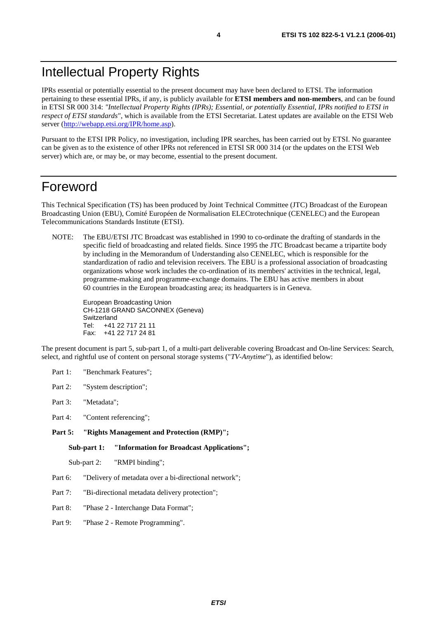IPRs essential or potentially essential to the present document may have been declared to ETSI. The information pertaining to these essential IPRs, if any, is publicly available for **ETSI members and non-members**, and can be found in ETSI SR 000 314: *"Intellectual Property Rights (IPRs); Essential, or potentially Essential, IPRs notified to ETSI in respect of ETSI standards"*, which is available from the ETSI Secretariat. Latest updates are available on the ETSI Web server (<http://webapp.etsi.org/IPR/home.asp>).

Pursuant to the ETSI IPR Policy, no investigation, including IPR searches, has been carried out by ETSI. No guarantee can be given as to the existence of other IPRs not referenced in ETSI SR 000 314 (or the updates on the ETSI Web server) which are, or may be, or may become, essential to the present document.

### Foreword

This Technical Specification (TS) has been produced by Joint Technical Committee (JTC) Broadcast of the European Broadcasting Union (EBU), Comité Européen de Normalisation ELECtrotechnique (CENELEC) and the European Telecommunications Standards Institute (ETSI).

NOTE: The EBU/ETSI JTC Broadcast was established in 1990 to co-ordinate the drafting of standards in the specific field of broadcasting and related fields. Since 1995 the JTC Broadcast became a tripartite body by including in the Memorandum of Understanding also CENELEC, which is responsible for the standardization of radio and television receivers. The EBU is a professional association of broadcasting organizations whose work includes the co-ordination of its members' activities in the technical, legal, programme-making and programme-exchange domains. The EBU has active members in about 60 countries in the European broadcasting area; its headquarters is in Geneva.

European Broadcasting Union CH-1218 GRAND SACONNEX (Geneva) Switzerland Tel: +41 22 717 21 11 Fax: +41 22 717 24 81

The present document is part 5, sub-part 1, of a multi-part deliverable covering Broadcast and On-line Services: Search, select, and rightful use of content on personal storage systems ("*TV-Anytime*"), as identified below:

- Part 1: "Benchmark Features";
- Part 2: "System description";
- Part 3: "Metadata";
- Part 4: "Content referencing":
- Part 5: "Rights Management and Protection (RMP)";

**Sub-part 1: "Information for Broadcast Applications";** 

Sub-part 2: "RMPI binding";

- Part 6: "Delivery of metadata over a bi-directional network";
- Part 7: "Bi-directional metadata delivery protection";
- Part 8: "Phase 2 Interchange Data Format";
- Part 9: "Phase 2 Remote Programming".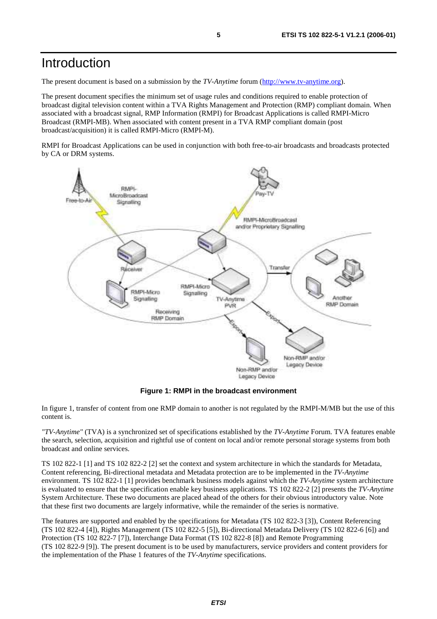### Introduction

The present document is based on a submission by the *TV-Anytime* forum ([http://www.tv-anytime.org](http://www.tv-anytime.org/)).

The present document specifies the minimum set of usage rules and conditions required to enable protection of broadcast digital television content within a TVA Rights Management and Protection (RMP) compliant domain. When associated with a broadcast signal, RMP Information (RMPI) for Broadcast Applications is called RMPI-Micro Broadcast (RMPI-MB). When associated with content present in a TVA RMP compliant domain (post broadcast/acquisition) it is called RMPI-Micro (RMPI-M).

RMPI for Broadcast Applications can be used in conjunction with both free-to-air broadcasts and broadcasts protected by CA or DRM systems.



**Figure 1: RMPI in the broadcast environment** 

In figure 1, transfer of content from one RMP domain to another is not regulated by the RMPI-M/MB but the use of this content is.

*"TV-Anytime"* (TVA) is a synchronized set of specifications established by the *TV-Anytime* Forum. TVA features enable the search, selection, acquisition and rightful use of content on local and/or remote personal storage systems from both broadcast and online services.

TS 102 822-1 [1] and TS 102 822-2 [2] set the context and system architecture in which the standards for Metadata, Content referencing, Bi-directional metadata and Metadata protection are to be implemented in the *TV-Anytime* environment. TS 102 822-1 [1] provides benchmark business models against which the *TV-Anytime* system architecture is evaluated to ensure that the specification enable key business applications. TS 102 822-2 [2] presents the *TV-Anytime* System Architecture. These two documents are placed ahead of the others for their obvious introductory value. Note that these first two documents are largely informative, while the remainder of the series is normative.

The features are supported and enabled by the specifications for Metadata (TS 102 822-3 [3]), Content Referencing (TS 102 822-4 [4]), Rights Management (TS 102 822-5 [5]), Bi-directional Metadata Delivery (TS 102 822-6 [6]) and Protection (TS 102 822-7 [7]), Interchange Data Format (TS 102 822-8 [8]) and Remote Programming (TS 102 822-9 [9]). The present document is to be used by manufacturers, service providers and content providers for the implementation of the Phase 1 features of the *TV-Anytime* specifications.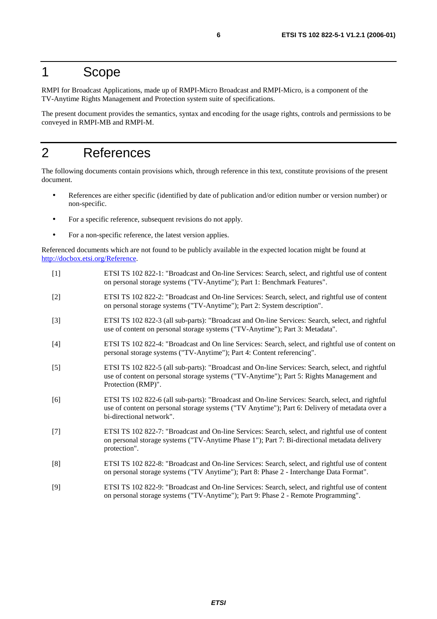### 1 Scope

RMPI for Broadcast Applications, made up of RMPI-Micro Broadcast and RMPI-Micro, is a component of the TV-Anytime Rights Management and Protection system suite of specifications.

The present document provides the semantics, syntax and encoding for the usage rights, controls and permissions to be conveyed in RMPI-MB and RMPI-M.

### 2 References

The following documents contain provisions which, through reference in this text, constitute provisions of the present document.

- References are either specific (identified by date of publication and/or edition number or version number) or non-specific.
- For a specific reference, subsequent revisions do not apply.
- For a non-specific reference, the latest version applies.

Referenced documents which are not found to be publicly available in the expected location might be found at <http://docbox.etsi.org/Reference>.

- [1] ETSI TS 102 822-1: "Broadcast and On-line Services: Search, select, and rightful use of content on personal storage systems ("TV-Anytime"); Part 1: Benchmark Features".
- [2] ETSI TS 102 822-2: "Broadcast and On-line Services: Search, select, and rightful use of content on personal storage systems ("TV-Anytime"); Part 2: System description".
- [3] ETSI TS 102 822-3 (all sub-parts): "Broadcast and On-line Services: Search, select, and rightful use of content on personal storage systems ("TV-Anytime"); Part 3: Metadata".
- [4] ETSI TS 102 822-4: "Broadcast and On line Services: Search, select, and rightful use of content on personal storage systems ("TV-Anytime"); Part 4: Content referencing".
- [5] ETSI TS 102 822-5 (all sub-parts): "Broadcast and On-line Services: Search, select, and rightful use of content on personal storage systems ("TV-Anytime"); Part 5: Rights Management and Protection (RMP)".
- [6] ETSI TS 102 822-6 (all sub-parts): "Broadcast and On-line Services: Search, select, and rightful use of content on personal storage systems ("TV Anytime"); Part 6: Delivery of metadata over a bi-directional network".
- [7] ETSI TS 102 822-7: "Broadcast and On-line Services: Search, select, and rightful use of content on personal storage systems ("TV-Anytime Phase 1"); Part 7: Bi-directional metadata delivery protection".
- [8] ETSI TS 102 822-8: "Broadcast and On-line Services: Search, select, and rightful use of content on personal storage systems ("TV Anytime"); Part 8: Phase 2 - Interchange Data Format".
- [9] ETSI TS 102 822-9: "Broadcast and On-line Services: Search, select, and rightful use of content on personal storage systems ("TV-Anytime"); Part 9: Phase 2 - Remote Programming".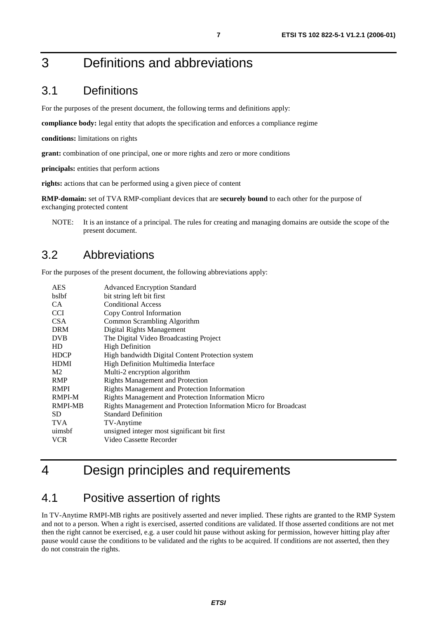### 3.1 Definitions

For the purposes of the present document, the following terms and definitions apply:

**compliance body:** legal entity that adopts the specification and enforces a compliance regime

**conditions:** limitations on rights

**grant:** combination of one principal, one or more rights and zero or more conditions

**principals:** entities that perform actions

**rights:** actions that can be performed using a given piece of content

**RMP-domain:** set of TVA RMP-compliant devices that are **securely bound** to each other for the purpose of exchanging protected content

NOTE: It is an instance of a principal. The rules for creating and managing domains are outside the scope of the present document.

#### 3.2 Abbreviations

For the purposes of the present document, the following abbreviations apply:

| <b>AES</b>     | <b>Advanced Encryption Standard</b>                              |
|----------------|------------------------------------------------------------------|
| bslbf          | bit string left bit first                                        |
| CA.            | <b>Conditional Access</b>                                        |
| <b>CCI</b>     | Copy Control Information                                         |
| CSA            | Common Scrambling Algorithm                                      |
| <b>DRM</b>     | Digital Rights Management                                        |
| <b>DVB</b>     | The Digital Video Broadcasting Project                           |
| HD             | <b>High Definition</b>                                           |
| <b>HDCP</b>    | High bandwidth Digital Content Protection system                 |
| <b>HDMI</b>    | High Definition Multimedia Interface                             |
| M <sub>2</sub> | Multi-2 encryption algorithm                                     |
| <b>RMP</b>     | <b>Rights Management and Protection</b>                          |
| <b>RMPI</b>    | Rights Management and Protection Information                     |
| RMPI-M         | Rights Management and Protection Information Micro               |
| RMPI-MB        | Rights Management and Protection Information Micro for Broadcast |
| SD.            | <b>Standard Definition</b>                                       |
| <b>TVA</b>     | TV-Anytime                                                       |
| uimsbf         | unsigned integer most significant bit first                      |
| <b>VCR</b>     | Video Cassette Recorder                                          |

# 4 Design principles and requirements

#### 4.1 Positive assertion of rights

In TV-Anytime RMPI-MB rights are positively asserted and never implied. These rights are granted to the RMP System and not to a person. When a right is exercised, asserted conditions are validated. If those asserted conditions are not met then the right cannot be exercised, e.g. a user could hit pause without asking for permission, however hitting play after pause would cause the conditions to be validated and the rights to be acquired. If conditions are not asserted, then they do not constrain the rights.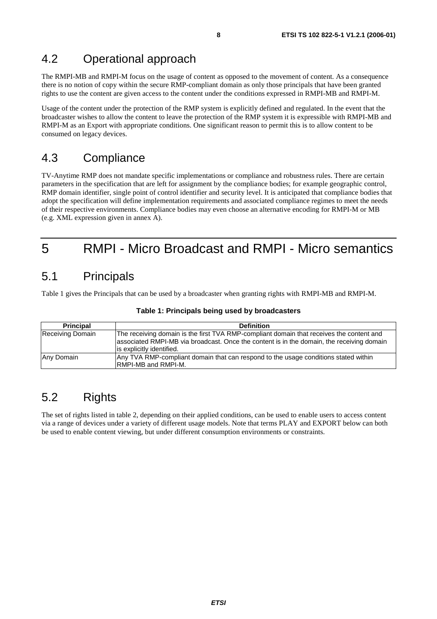### 4.2 Operational approach

The RMPI-MB and RMPI-M focus on the usage of content as opposed to the movement of content. As a consequence there is no notion of copy within the secure RMP-compliant domain as only those principals that have been granted rights to use the content are given access to the content under the conditions expressed in RMPI-MB and RMPI-M.

Usage of the content under the protection of the RMP system is explicitly defined and regulated. In the event that the broadcaster wishes to allow the content to leave the protection of the RMP system it is expressible with RMPI-MB and RMPI-M as an Export with appropriate conditions. One significant reason to permit this is to allow content to be consumed on legacy devices.

### 4.3 Compliance

TV-Anytime RMP does not mandate specific implementations or compliance and robustness rules. There are certain parameters in the specification that are left for assignment by the compliance bodies; for example geographic control, RMP domain identifier, single point of control identifier and security level. It is anticipated that compliance bodies that adopt the specification will define implementation requirements and associated compliance regimes to meet the needs of their respective environments. Compliance bodies may even choose an alternative encoding for RMPI-M or MB (e.g. XML expression given in annex A).

# 5 RMPI - Micro Broadcast and RMPI - Micro semantics

### 5.1 Principals

Table 1 gives the Principals that can be used by a broadcaster when granting rights with RMPI-MB and RMPI-M.

| <b>Principal</b> | <b>Definition</b>                                                                         |  |
|------------------|-------------------------------------------------------------------------------------------|--|
| Receiving Domain | The receiving domain is the first TVA RMP-compliant domain that receives the content and  |  |
|                  | associated RMPI-MB via broadcast. Once the content is in the domain, the receiving domain |  |
|                  | lis explicitly identified.                                                                |  |
| Any Domain       | Any TVA RMP-compliant domain that can respond to the usage conditions stated within       |  |
|                  | <b>RMPI-MB and RMPI-M.</b>                                                                |  |

#### **Table 1: Principals being used by broadcasters**

### 5.2 Rights

The set of rights listed in table 2, depending on their applied conditions, can be used to enable users to access content via a range of devices under a variety of different usage models. Note that terms PLAY and EXPORT below can both be used to enable content viewing, but under different consumption environments or constraints.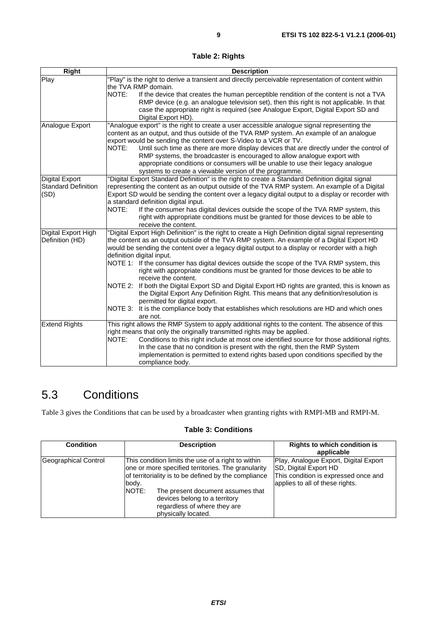**Table 2: Rights** 

| <b>Right</b>               | <b>Description</b>                                                                                    |
|----------------------------|-------------------------------------------------------------------------------------------------------|
| Play                       | "Play" is the right to derive a transient and directly perceivable representation of content within   |
|                            | the TVA RMP domain.                                                                                   |
|                            | NOTE:<br>If the device that creates the human perceptible rendition of the content is not a TVA       |
|                            | RMP device (e.g. an analogue television set), then this right is not applicable. In that              |
|                            | case the appropriate right is required (see Analogue Export, Digital Export SD and                    |
|                            | Digital Export HD).                                                                                   |
| Analogue Export            | "Analogue export" is the right to create a user accessible analogue signal representing the           |
|                            | content as an output, and thus outside of the TVA RMP system. An example of an analogue               |
|                            | export would be sending the content over S-Video to a VCR or TV.                                      |
|                            | NOTE:<br>Until such time as there are more display devices that are directly under the control of     |
|                            | RMP systems, the broadcaster is encouraged to allow analogue export with                              |
|                            | appropriate conditions or consumers will be unable to use their legacy analogue                       |
|                            | systems to create a viewable version of the programme.                                                |
| <b>Digital Export</b>      | "Digital Export Standard Definition" is the right to create a Standard Definition digital signal      |
| <b>Standard Definition</b> | representing the content as an output outside of the TVA RMP system. An example of a Digital          |
| (SD)                       | Export SD would be sending the content over a legacy digital output to a display or recorder with     |
|                            | a standard definition digital input.                                                                  |
|                            | NOTE:<br>If the consumer has digital devices outside the scope of the TVA RMP system, this            |
|                            | right with appropriate conditions must be granted for those devices to be able to                     |
|                            | receive the content.                                                                                  |
| Digital Export High        | "Digital Export High Definition" is the right to create a High Definition digital signal representing |
| Definition (HD)            | the content as an output outside of the TVA RMP system. An example of a Digital Export HD             |
|                            | would be sending the content over a legacy digital output to a display or recorder with a high        |
|                            | definition digital input.                                                                             |
|                            | NOTE 1: If the consumer has digital devices outside the scope of the TVA RMP system, this             |
|                            | right with appropriate conditions must be granted for those devices to be able to                     |
|                            | receive the content.                                                                                  |
|                            | NOTE 2:<br>If both the Digital Export SD and Digital Export HD rights are granted, this is known as   |
|                            | the Digital Export Any Definition Right. This means that any definition/resolution is                 |
|                            | permitted for digital export.                                                                         |
|                            | NOTE 3: It is the compliance body that establishes which resolutions are HD and which ones            |
|                            | are not.                                                                                              |
| <b>Extend Rights</b>       | This right allows the RMP System to apply additional rights to the content. The absence of this       |
|                            | right means that only the originally transmitted rights may be applied.                               |
|                            | NOTE:<br>Conditions to this right include at most one identified source for those additional rights.  |
|                            | In the case that no condition is present with the right, then the RMP System                          |
|                            | implementation is permitted to extend rights based upon conditions specified by the                   |
|                            | compliance body.                                                                                      |

### 5.3 Conditions

Table 3 gives the Conditions that can be used by a broadcaster when granting rights with RMPI-MB and RMPI-M.

#### **Table 3: Conditions**

| <b>Condition</b>     |                | <b>Description</b>                                                                                                                                                                                                                                                                            | <b>Rights to which condition is</b><br>applicable                                                                                         |
|----------------------|----------------|-----------------------------------------------------------------------------------------------------------------------------------------------------------------------------------------------------------------------------------------------------------------------------------------------|-------------------------------------------------------------------------------------------------------------------------------------------|
| Geographical Control | body.<br>NOTE: | This condition limits the use of a right to within<br>one or more specified territories. The granularity<br>of territoriality is to be defined by the compliance<br>The present document assumes that<br>devices belong to a territory<br>regardless of where they are<br>physically located. | Play, Analogue Export, Digital Export<br>SD, Digital Export HD<br>This condition is expressed once and<br>applies to all of these rights. |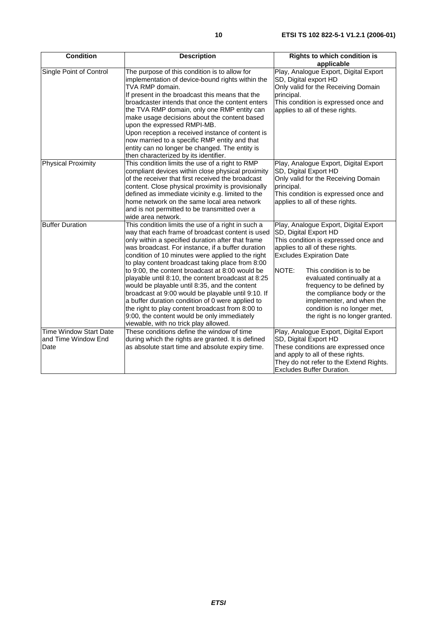| <b>Condition</b>                                             | <b>Description</b>                                                                                                                                                                                                                                                                                                                                                                                                                                                                                                                                                                                                                                                                                                                        | <b>Rights to which condition is</b><br>applicable                                                                                                                                                                                                                                                                                                                                                         |
|--------------------------------------------------------------|-------------------------------------------------------------------------------------------------------------------------------------------------------------------------------------------------------------------------------------------------------------------------------------------------------------------------------------------------------------------------------------------------------------------------------------------------------------------------------------------------------------------------------------------------------------------------------------------------------------------------------------------------------------------------------------------------------------------------------------------|-----------------------------------------------------------------------------------------------------------------------------------------------------------------------------------------------------------------------------------------------------------------------------------------------------------------------------------------------------------------------------------------------------------|
| Single Point of Control                                      | The purpose of this condition is to allow for<br>implementation of device-bound rights within the<br>TVA RMP domain.<br>If present in the broadcast this means that the<br>broadcaster intends that once the content enters<br>the TVA RMP domain, only one RMP entity can<br>make usage decisions about the content based<br>upon the expressed RMPI-MB.<br>Upon reception a received instance of content is<br>now married to a specific RMP entity and that<br>entity can no longer be changed. The entity is<br>then characterized by its identifier.                                                                                                                                                                                 | Play, Analogue Export, Digital Export<br>SD, Digital export HD<br>Only valid for the Receiving Domain<br>principal.<br>This condition is expressed once and<br>applies to all of these rights.                                                                                                                                                                                                            |
| <b>Physical Proximity</b>                                    | This condition limits the use of a right to RMP<br>compliant devices within close physical proximity<br>of the receiver that first received the broadcast<br>content. Close physical proximity is provisionally<br>defined as immediate vicinity e.g. limited to the<br>home network on the same local area network<br>and is not permitted to be transmitted over a<br>wide area network.                                                                                                                                                                                                                                                                                                                                                | Play, Analogue Export, Digital Export<br>SD, Digital Export HD<br>Only valid for the Receiving Domain<br>principal.<br>This condition is expressed once and<br>applies to all of these rights.                                                                                                                                                                                                            |
| <b>Buffer Duration</b>                                       | This condition limits the use of a right in such a<br>way that each frame of broadcast content is used<br>only within a specified duration after that frame<br>was broadcast. For instance, if a buffer duration<br>condition of 10 minutes were applied to the right<br>to play content broadcast taking place from 8:00<br>to 9:00, the content broadcast at 8:00 would be<br>playable until 8:10, the content broadcast at 8:25<br>would be playable until 8:35, and the content<br>broadcast at 9:00 would be playable until 9:10. If<br>a buffer duration condition of 0 were applied to<br>the right to play content broadcast from 8:00 to<br>9:00, the content would be only immediately<br>viewable, with no trick play allowed. | Play, Analogue Export, Digital Export<br>SD, Digital Export HD<br>This condition is expressed once and<br>applies to all of these rights.<br><b>Excludes Expiration Date</b><br>NOTE:<br>This condition is to be<br>evaluated continually at a<br>frequency to be defined by<br>the compliance body or the<br>implementer, and when the<br>condition is no longer met,<br>the right is no longer granted. |
| <b>Time Window Start Date</b><br>and Time Window End<br>Date | These conditions define the window of time<br>during which the rights are granted. It is defined<br>as absolute start time and absolute expiry time.                                                                                                                                                                                                                                                                                                                                                                                                                                                                                                                                                                                      | Play, Analogue Export, Digital Export<br>SD, Digital Export HD<br>These conditions are expressed once<br>and apply to all of these rights.<br>They do not refer to the Extend Rights.<br>Excludes Buffer Duration.                                                                                                                                                                                        |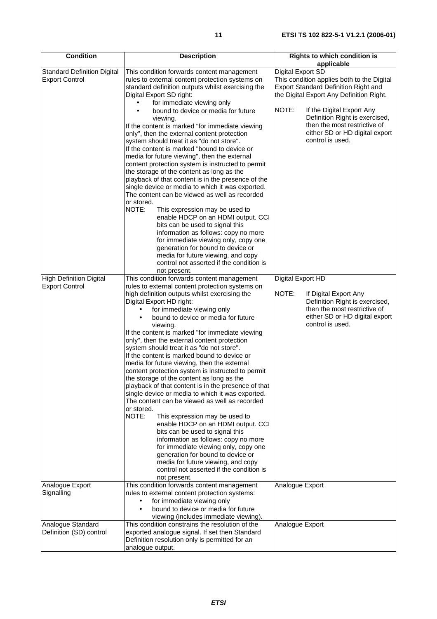| <b>Condition</b>                                            | <b>Description</b>                                                                                | <b>Rights to which condition is</b>                            |
|-------------------------------------------------------------|---------------------------------------------------------------------------------------------------|----------------------------------------------------------------|
|                                                             |                                                                                                   | applicable<br>Digital Export SD                                |
| <b>Standard Definition Digital</b><br><b>Export Control</b> | This condition forwards content management<br>rules to external content protection systems on     | This condition applies both to the Digital                     |
|                                                             | standard definition outputs whilst exercising the                                                 | <b>Export Standard Definition Right and</b>                    |
|                                                             | Digital Export SD right:                                                                          | the Digital Export Any Definition Right.                       |
|                                                             | for immediate viewing only                                                                        |                                                                |
|                                                             | bound to device or media for future                                                               | NOTE:<br>If the Digital Export Any                             |
|                                                             | viewing.<br>If the content is marked "for immediate viewing                                       | Definition Right is exercised,<br>then the most restrictive of |
|                                                             | only", then the external content protection                                                       | either SD or HD digital export                                 |
|                                                             | system should treat it as "do not store".                                                         | control is used.                                               |
|                                                             | If the content is marked "bound to device or                                                      |                                                                |
|                                                             | media for future viewing", then the external                                                      |                                                                |
|                                                             | content protection system is instructed to permit                                                 |                                                                |
|                                                             | the storage of the content as long as the<br>playback of that content is in the presence of the   |                                                                |
|                                                             | single device or media to which it was exported.                                                  |                                                                |
|                                                             | The content can be viewed as well as recorded                                                     |                                                                |
|                                                             | or stored.                                                                                        |                                                                |
|                                                             | NOTE:<br>This expression may be used to                                                           |                                                                |
|                                                             | enable HDCP on an HDMI output. CCI                                                                |                                                                |
|                                                             | bits can be used to signal this<br>information as follows: copy no more                           |                                                                |
|                                                             | for immediate viewing only, copy one                                                              |                                                                |
|                                                             | generation for bound to device or                                                                 |                                                                |
|                                                             | media for future viewing, and copy                                                                |                                                                |
|                                                             | control not asserted if the condition is                                                          |                                                                |
|                                                             | not present.                                                                                      |                                                                |
| <b>High Definition Digital</b><br><b>Export Control</b>     | This condition forwards content management<br>rules to external content protection systems on     | Digital Export HD                                              |
|                                                             | high definition outputs whilst exercising the                                                     | NOTE:<br>If Digital Export Any                                 |
|                                                             | Digital Export HD right:                                                                          | Definition Right is exercised,                                 |
|                                                             | for immediate viewing only                                                                        | then the most restrictive of                                   |
|                                                             | bound to device or media for future                                                               | either SD or HD digital export                                 |
|                                                             | viewing.                                                                                          | control is used.                                               |
|                                                             | If the content is marked "for immediate viewing<br>only", then the external content protection    |                                                                |
|                                                             | system should treat it as "do not store".                                                         |                                                                |
|                                                             | If the content is marked bound to device or                                                       |                                                                |
|                                                             | media for future viewing, then the external                                                       |                                                                |
|                                                             | content protection system is instructed to permit                                                 |                                                                |
|                                                             | the storage of the content as long as the                                                         |                                                                |
|                                                             | playback of that content is in the presence of that                                               |                                                                |
|                                                             | single device or media to which it was exported.<br>The content can be viewed as well as recorded |                                                                |
|                                                             | or stored.                                                                                        |                                                                |
|                                                             | NOTE:<br>This expression may be used to                                                           |                                                                |
|                                                             | enable HDCP on an HDMI output. CCI                                                                |                                                                |
|                                                             | bits can be used to signal this                                                                   |                                                                |
|                                                             | information as follows: copy no more<br>for immediate viewing only, copy one                      |                                                                |
|                                                             | generation for bound to device or                                                                 |                                                                |
|                                                             | media for future viewing, and copy                                                                |                                                                |
|                                                             | control not asserted if the condition is                                                          |                                                                |
|                                                             | not present.                                                                                      |                                                                |
| Analogue Export                                             | This condition forwards content management                                                        | Analogue Export                                                |
| Signalling                                                  | rules to external content protection systems:<br>for immediate viewing only<br>$\bullet$          |                                                                |
|                                                             | bound to device or media for future                                                               |                                                                |
|                                                             | viewing (includes immediate viewing).                                                             |                                                                |
| Analogue Standard                                           | This condition constrains the resolution of the                                                   | Analogue Export                                                |
| Definition (SD) control                                     | exported analogue signal. If set then Standard                                                    |                                                                |
|                                                             | Definition resolution only is permitted for an                                                    |                                                                |
|                                                             | analogue output.                                                                                  |                                                                |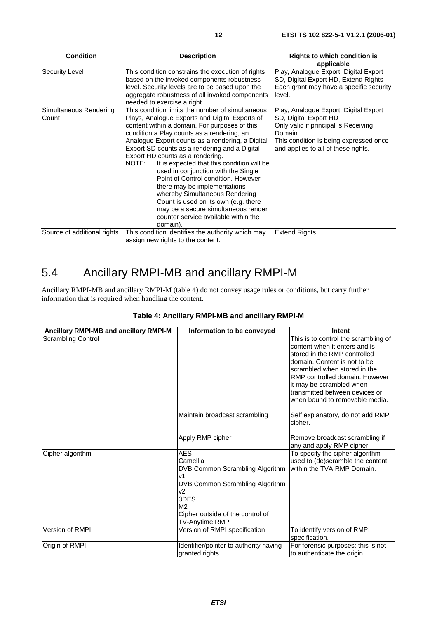| <b>Condition</b>                | <b>Description</b>                                                                                                                                                                                                                                                                                                                                                                                                                                                                                                                                                                                                                                                                   | <b>Rights to which condition is</b><br>applicable                                                                                                                                                 |
|---------------------------------|--------------------------------------------------------------------------------------------------------------------------------------------------------------------------------------------------------------------------------------------------------------------------------------------------------------------------------------------------------------------------------------------------------------------------------------------------------------------------------------------------------------------------------------------------------------------------------------------------------------------------------------------------------------------------------------|---------------------------------------------------------------------------------------------------------------------------------------------------------------------------------------------------|
| <b>Security Level</b>           | This condition constrains the execution of rights<br>based on the invoked components robustness<br>level. Security levels are to be based upon the<br>aggregate robustness of all invoked components<br>needed to exercise a right.                                                                                                                                                                                                                                                                                                                                                                                                                                                  | Play, Analogue Export, Digital Export<br>SD, Digital Export HD, Extend Rights<br>Each grant may have a specific security<br>level.                                                                |
| Simultaneous Rendering<br>Count | This condition limits the number of simultaneous<br>Plays, Analogue Exports and Digital Exports of<br>content within a domain. For purposes of this<br>condition a Play counts as a rendering, an<br>Analogue Export counts as a rendering, a Digital<br>Export SD counts as a rendering and a Digital<br>Export HD counts as a rendering.<br>NOTE:<br>It is expected that this condition will be<br>used in conjunction with the Single<br>Point of Control condition. However<br>there may be implementations<br>whereby Simultaneous Rendering<br>Count is used on its own (e.g. there<br>may be a secure simultaneous render<br>counter service available within the<br>domain). | Play, Analogue Export, Digital Export<br>SD, Digital Export HD<br>Only valid if principal is Receiving<br>Domain<br>This condition is being expressed once<br>and applies to all of these rights. |
| Source of additional rights     | This condition identifies the authority which may<br>assign new rights to the content.                                                                                                                                                                                                                                                                                                                                                                                                                                                                                                                                                                                               | <b>Extend Rights</b>                                                                                                                                                                              |

### 5.4 Ancillary RMPI-MB and ancillary RMPI-M

Ancillary RMPI-MB and ancillary RMPI-M (table 4) do not convey usage rules or conditions, but carry further information that is required when handling the content.

| Ancillary RMPI-MB and ancillary RMPI-M | Information to be conveyed             | <b>Intent</b>                               |
|----------------------------------------|----------------------------------------|---------------------------------------------|
| <b>Scrambling Control</b>              |                                        | This is to control the scrambling of        |
|                                        |                                        | content when it enters and is               |
|                                        |                                        | stored in the RMP controlled                |
|                                        |                                        | domain. Content is not to be                |
|                                        |                                        | scrambled when stored in the                |
|                                        |                                        | RMP controlled domain. However              |
|                                        |                                        | it may be scrambled when                    |
|                                        |                                        | transmitted between devices or              |
|                                        |                                        | when bound to removable media.              |
|                                        | Maintain broadcast scrambling          | Self explanatory, do not add RMP<br>cipher. |
|                                        | Apply RMP cipher                       | Remove broadcast scrambling if              |
|                                        |                                        | any and apply RMP cipher.                   |
| Cipher algorithm                       | <b>AES</b>                             | To specify the cipher algorithm             |
|                                        | Camellia                               | used to (de)scramble the content            |
|                                        | DVB Common Scrambling Algorithm        | within the TVA RMP Domain.                  |
|                                        | v1                                     |                                             |
|                                        | DVB Common Scrambling Algorithm        |                                             |
|                                        | v2<br>3DES                             |                                             |
|                                        | M <sub>2</sub>                         |                                             |
|                                        | Cipher outside of the control of       |                                             |
|                                        | TV-Anytime RMP                         |                                             |
| Version of RMPI                        | Version of RMPI specification          | To identify version of RMPI                 |
|                                        |                                        | specification.                              |
| Origin of RMPI                         | Identifier/pointer to authority having | For forensic purposes; this is not          |
|                                        | granted rights                         | to authenticate the origin.                 |

#### **Table 4: Ancillary RMPI-MB and ancillary RMPI-M**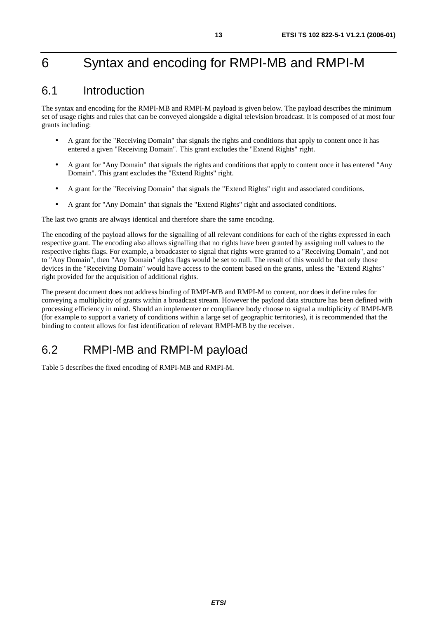# 6 Syntax and encoding for RMPI-MB and RMPI-M

### 6.1 Introduction

The syntax and encoding for the RMPI-MB and RMPI-M payload is given below. The payload describes the minimum set of usage rights and rules that can be conveyed alongside a digital television broadcast. It is composed of at most four grants including:

- A grant for the "Receiving Domain" that signals the rights and conditions that apply to content once it has entered a given "Receiving Domain". This grant excludes the "Extend Rights" right.
- A grant for "Any Domain" that signals the rights and conditions that apply to content once it has entered "Any Domain". This grant excludes the "Extend Rights" right.
- A grant for the "Receiving Domain" that signals the "Extend Rights" right and associated conditions.
- A grant for "Any Domain" that signals the "Extend Rights" right and associated conditions.

The last two grants are always identical and therefore share the same encoding.

The encoding of the payload allows for the signalling of all relevant conditions for each of the rights expressed in each respective grant. The encoding also allows signalling that no rights have been granted by assigning null values to the respective rights flags. For example, a broadcaster to signal that rights were granted to a "Receiving Domain", and not to "Any Domain", then "Any Domain" rights flags would be set to null. The result of this would be that only those devices in the "Receiving Domain" would have access to the content based on the grants, unless the "Extend Rights" right provided for the acquisition of additional rights.

The present document does not address binding of RMPI-MB and RMPI-M to content, nor does it define rules for conveying a multiplicity of grants within a broadcast stream. However the payload data structure has been defined with processing efficiency in mind. Should an implementer or compliance body choose to signal a multiplicity of RMPI-MB (for example to support a variety of conditions within a large set of geographic territories), it is recommended that the binding to content allows for fast identification of relevant RMPI-MB by the receiver.

### 6.2 RMPI-MB and RMPI-M payload

Table 5 describes the fixed encoding of RMPI-MB and RMPI-M.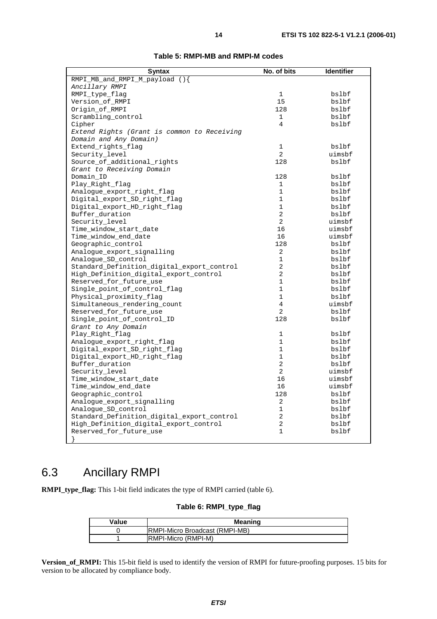| RMPI MB and RMPI M payload $()$<br>Ancillary RMPI<br>RMPI_type_flag<br>1<br>bslbf<br>15<br>Version_of_RMPI<br>bslbf |  |  |
|---------------------------------------------------------------------------------------------------------------------|--|--|
|                                                                                                                     |  |  |
|                                                                                                                     |  |  |
|                                                                                                                     |  |  |
|                                                                                                                     |  |  |
| Origin of RMPI<br>128<br>bslbf                                                                                      |  |  |
| Scrambling control<br>1<br>bslbf                                                                                    |  |  |
| $\overline{4}$<br>Cipher<br>bslbf                                                                                   |  |  |
| Extend Rights (Grant is common to Receiving                                                                         |  |  |
| Domain and Any Domain)                                                                                              |  |  |
| Extend_rights_flag<br>$\mathbf 1$<br>bslbf                                                                          |  |  |
| $\overline{2}$<br>Security_level<br>uimsbf                                                                          |  |  |
| 128<br>Source of additional rights<br>bslbf                                                                         |  |  |
| Grant to Receiving Domain                                                                                           |  |  |
| Domain ID<br>128<br>bslbf                                                                                           |  |  |
| Play_Right_flag<br>1<br>bslbf                                                                                       |  |  |
| Analogue_export_right_flag<br>$\mathbf{1}$<br>bslbf                                                                 |  |  |
| Digital_export_SD_right_flag<br>$\mathbf{1}$<br>bslbf                                                               |  |  |
| Digital_export_HD_right_flag<br>$\mathbf{1}$<br>bslbf                                                               |  |  |
| 2<br>Buffer_duration<br>bslbf                                                                                       |  |  |
| Security_level<br>2<br>uimsbf                                                                                       |  |  |
| Time_window_start_date<br>16<br>uimsbf                                                                              |  |  |
| Time_window_end_date<br>16<br>uimsbf                                                                                |  |  |
| Geographic_control<br>128<br>bslbf                                                                                  |  |  |
| Analoque_export_signalling<br>2<br>bslbf                                                                            |  |  |
| $\mathbf 1$<br>Analogue_SD_control<br>bslbf                                                                         |  |  |
| $\overline{a}$<br>Standard_Definition_digital_export_control<br>bslbf                                               |  |  |
| $\overline{a}$<br>High_Definition_digital_export_control<br>bslbf                                                   |  |  |
| $\mathbf{1}$<br>Reserved for future use<br>bslbf                                                                    |  |  |
| $\mathbf{1}$<br>Single point of control flag<br>bslbf                                                               |  |  |
| $\mathbf{1}$<br>Physical_proximity_flag<br>bslbf                                                                    |  |  |
| $\overline{4}$<br>Simultaneous rendering count<br>uimsbf                                                            |  |  |
| $\overline{2}$<br>Reserved for future use<br>bslbf                                                                  |  |  |
| Single_point_of_control_ID<br>128<br>bslbf                                                                          |  |  |
| Grant to Any Domain                                                                                                 |  |  |
| Play_Right_flag<br>$\mathbf 1$<br>bslbf                                                                             |  |  |
| Analoque_export_right_flaq<br>$\mathbf{1}$<br>bslbf                                                                 |  |  |
| Digital_export_SD_right_flag<br>$\mathbf 1$<br>bslbf                                                                |  |  |
| Digital_export_HD_right_flag<br>1<br>bslbf                                                                          |  |  |
| $\overline{a}$<br>Buffer_duration<br>bslbf                                                                          |  |  |
| Security_level<br>2<br>uimsbf                                                                                       |  |  |
| Time_window_start_date<br>16<br>uimsbf                                                                              |  |  |
| Time_window_end_date<br>16<br>uimsbf                                                                                |  |  |
| Geographic_control<br>128<br>bslbf                                                                                  |  |  |
| Analogue_export_signalling<br>2<br>bslbf                                                                            |  |  |
| Analogue_SD_control<br>1<br>bslbf                                                                                   |  |  |
| 2<br>Standard_Definition_digital_export_control<br>bslbf                                                            |  |  |
| 2<br>High_Definition_digital_export_control<br>bslbf                                                                |  |  |
| Reserved for future use<br>$\mathbf{1}$<br>bslbf                                                                    |  |  |
|                                                                                                                     |  |  |

#### **Table 5: RMPI-MB and RMPI-M codes**

### 6.3 Ancillary RMPI

**RMPI\_type\_flag:** This 1-bit field indicates the type of RMPI carried (table 6).

#### **Table 6: RMPI\_type\_flag**

| Value | <b>Meaning</b>                        |  |
|-------|---------------------------------------|--|
|       | <b>RMPI-Micro Broadcast (RMPI-MB)</b> |  |
|       | <b>RMPI-Micro (RMPI-M)</b>            |  |

**Version\_of\_RMPI:** This 15-bit field is used to identify the version of RMPI for future-proofing purposes. 15 bits for version to be allocated by compliance body.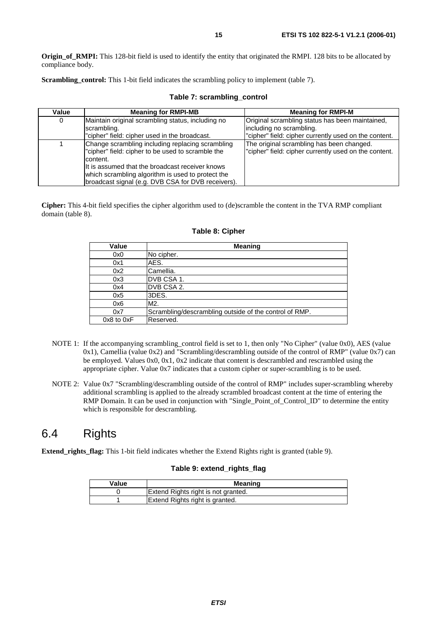**Origin of RMPI:** This 128-bit field is used to identify the entity that originated the RMPI. 128 bits to be allocated by compliance body.

**Scrambling\_control:** This 1-bit field indicates the scrambling policy to implement (table 7).

| Value | <b>Meaning for RMPI-MB</b>                                                                                                                                                                                                                                                      | <b>Meaning for RMPI-M</b>                                                                                                             |
|-------|---------------------------------------------------------------------------------------------------------------------------------------------------------------------------------------------------------------------------------------------------------------------------------|---------------------------------------------------------------------------------------------------------------------------------------|
| 0     | Maintain original scrambling status, including no<br>scrambling.<br>"cipher" field: cipher used in the broadcast.                                                                                                                                                               | Original scrambling status has been maintained,<br>lincluding no scrambling.<br>"cipher" field: cipher currently used on the content. |
|       | Change scrambling including replacing scrambling<br>"cipher" field: cipher to be used to scramble the<br>content.<br>It is assumed that the broadcast receiver knows<br>which scrambling algorithm is used to protect the<br>broadcast signal (e.g. DVB CSA for DVB receivers). | The original scrambling has been changed.<br>"cipher" field: cipher currently used on the content.                                    |

#### **Table 7: scrambling\_control**

**Cipher:** This 4-bit field specifies the cipher algorithm used to (de)scramble the content in the TVA RMP compliant domain (table 8).

| Value          | <b>Meaning</b>                                         |
|----------------|--------------------------------------------------------|
| 0x0            | No cipher.                                             |
| 0x1            | AES.                                                   |
| 0x2            | Camellia.                                              |
| 0x3            | IDVB CSA 1.                                            |
| 0x4            | IDVB CSA 2.                                            |
| 0x5            | 3DES.                                                  |
| 0x6            | M2.                                                    |
| 0x7            | Scrambling/descrambling outside of the control of RMP. |
| $0x8$ to $0xF$ | Reserved.                                              |

#### **Table 8: Cipher**

- NOTE 1: If the accompanying scrambling\_control field is set to 1, then only "No Cipher" (value 0x0), AES (value 0x1), Camellia (value 0x2) and "Scrambling/descrambling outside of the control of RMP" (value 0x7) can be employed. Values 0x0, 0x1, 0x2 indicate that content is descrambled and rescrambled using the appropriate cipher. Value 0x7 indicates that a custom cipher or super-scrambling is to be used.
- NOTE 2: Value 0x7 "Scrambling/descrambling outside of the control of RMP" includes super-scrambling whereby additional scrambling is applied to the already scrambled broadcast content at the time of entering the RMP Domain. It can be used in conjunction with "Single\_Point\_of\_Control\_ID" to determine the entity which is responsible for descrambling.

#### 6.4 Rights

**Extend\_rights\_flag:** This 1-bit field indicates whether the Extend Rights right is granted (table 9).

#### **Table 9: extend\_rights\_flag**

| Value | <b>Meaning</b>                      |
|-------|-------------------------------------|
|       | Extend Rights right is not granted. |
|       | Extend Rights right is granted.     |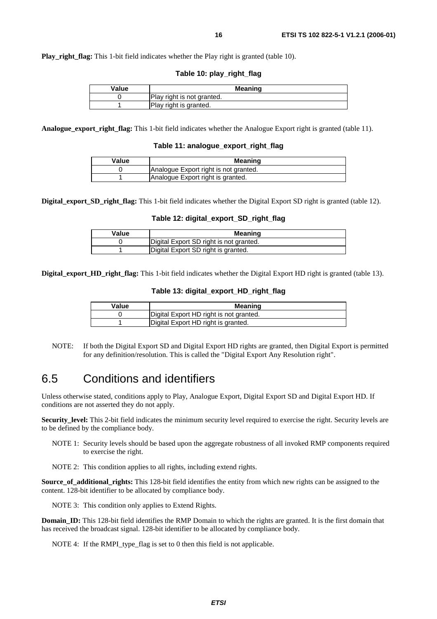**Play right flag:** This 1-bit field indicates whether the Play right is granted (table 10).

**Table 10: play\_right\_flag** 

| Value | <b>Meaning</b>             |
|-------|----------------------------|
|       | Play right is not granted. |
|       | Play right is granted.     |

**Analogue\_export\_right\_flag:** This 1-bit field indicates whether the Analogue Export right is granted (table 11).

**Table 11: analogue\_export\_right\_flag**

| Value | Meaning                               |
|-------|---------------------------------------|
|       | Analogue Export right is not granted. |
|       | Analogue Export right is granted.     |

**Digital\_export\_SD\_right\_flag:** This 1-bit field indicates whether the Digital Export SD right is granted (table 12).

#### **Table 12: digital\_export\_SD\_right\_flag**

| Value | Meaning                                 |
|-------|-----------------------------------------|
|       | Digital Export SD right is not granted. |
|       | Digital Export SD right is granted.     |

**Digital\_export\_HD\_right\_flag:** This 1-bit field indicates whether the Digital Export HD right is granted (table 13).

#### **Table 13: digital\_export\_HD\_right\_flag**

| Value | Meaning                                 |
|-------|-----------------------------------------|
|       | Digital Export HD right is not granted. |
|       | Digital Export HD right is granted.     |

NOTE: If both the Digital Export SD and Digital Export HD rights are granted, then Digital Export is permitted for any definition/resolution. This is called the "Digital Export Any Resolution right".

#### 6.5 Conditions and identifiers

Unless otherwise stated, conditions apply to Play, Analogue Export, Digital Export SD and Digital Export HD. If conditions are not asserted they do not apply.

**Security\_level:** This 2-bit field indicates the minimum security level required to exercise the right. Security levels are to be defined by the compliance body.

NOTE 1: Security levels should be based upon the aggregate robustness of all invoked RMP components required to exercise the right.

NOTE 2: This condition applies to all rights, including extend rights.

**Source\_of\_additional\_rights:** This 128-bit field identifies the entity from which new rights can be assigned to the content. 128-bit identifier to be allocated by compliance body.

NOTE 3: This condition only applies to Extend Rights.

**Domain\_ID:** This 128-bit field identifies the RMP Domain to which the rights are granted. It is the first domain that has received the broadcast signal. 128-bit identifier to be allocated by compliance body.

NOTE 4: If the RMPI type flag is set to 0 then this field is not applicable.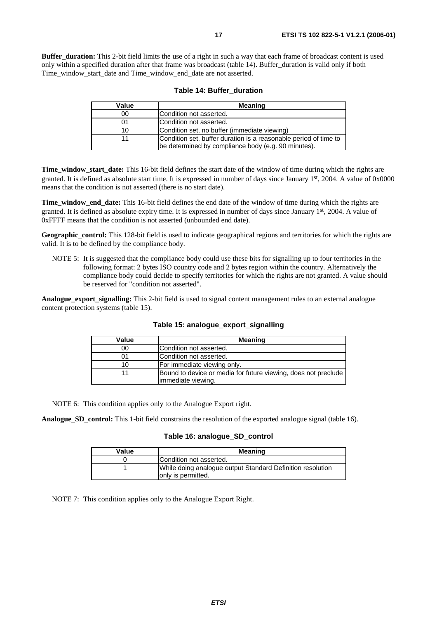**Buffer duration:** This 2-bit field limits the use of a right in such a way that each frame of broadcast content is used only within a specified duration after that frame was broadcast (table 14). Buffer\_duration is valid only if both Time\_window\_start\_date and Time\_window\_end\_date are not asserted.

| Value | <b>Meaning</b>                                                                                                          |
|-------|-------------------------------------------------------------------------------------------------------------------------|
| 00    | Condition not asserted.                                                                                                 |
| 01    | Condition not asserted.                                                                                                 |
| 10    | Condition set, no buffer (immediate viewing)                                                                            |
|       | Condition set, buffer duration is a reasonable period of time to<br>be determined by compliance body (e.g. 90 minutes). |

|  |  |  | Table 14: Buffer duration |
|--|--|--|---------------------------|
|--|--|--|---------------------------|

**Time\_window\_start\_date:** This 16-bit field defines the start date of the window of time during which the rights are granted. It is defined as absolute start time. It is expressed in number of days since January 1st, 2004. A value of 0x0000 means that the condition is not asserted (there is no start date).

**Time\_window\_end\_date:** This 16-bit field defines the end date of the window of time during which the rights are granted. It is defined as absolute expiry time. It is expressed in number of days since January 1st, 2004. A value of 0xFFFF means that the condition is not asserted (unbounded end date).

**Geographic\_control:** This 128-bit field is used to indicate geographical regions and territories for which the rights are valid. It is to be defined by the compliance body.

NOTE 5: It is suggested that the compliance body could use these bits for signalling up to four territories in the following format: 2 bytes ISO country code and 2 bytes region within the country. Alternatively the compliance body could decide to specify territories for which the rights are not granted. A value should be reserved for "condition not asserted".

**Analogue\_export\_signalling:** This 2-bit field is used to signal content management rules to an external analogue content protection systems (table 15).

| Value | <b>Meaning</b>                                                 |
|-------|----------------------------------------------------------------|
| 00    | Condition not asserted.                                        |
|       | Condition not asserted.                                        |
| 10    | For immediate viewing only.                                    |
| 11    | Bound to device or media for future viewing, does not preclude |
|       | limmediate viewing.                                            |

**Table 15: analogue\_export\_signalling**

NOTE 6: This condition applies only to the Analogue Export right.

**Analogue\_SD\_control:** This 1-bit field constrains the resolution of the exported analogue signal (table 16).

#### **Table 16: analogue\_SD\_control**

| Value | <b>Meaning</b>                                                                    |
|-------|-----------------------------------------------------------------------------------|
|       | Condition not asserted.                                                           |
|       | While doing analogue output Standard Definition resolution<br>lonly is permitted. |

NOTE 7: This condition applies only to the Analogue Export Right.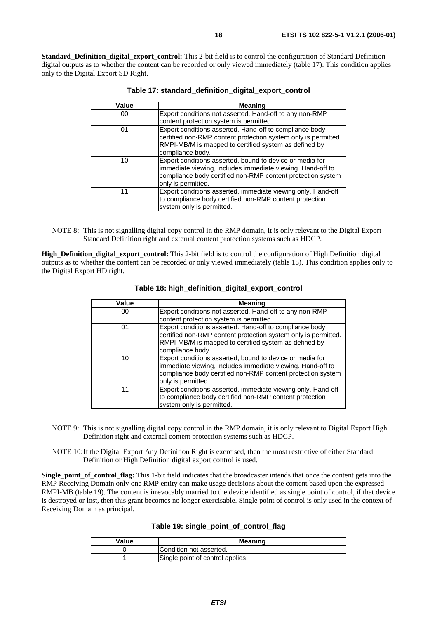**Standard Definition digital export control:** This 2-bit field is to control the configuration of Standard Definition digital outputs as to whether the content can be recorded or only viewed immediately (table 17). This condition applies only to the Digital Export SD Right.

| Value | <b>Meaning</b>                                                                                                                                                                                              |
|-------|-------------------------------------------------------------------------------------------------------------------------------------------------------------------------------------------------------------|
| 00    | Export conditions not asserted. Hand-off to any non-RMP<br>content protection system is permitted.                                                                                                          |
| 01    | Export conditions asserted. Hand-off to compliance body<br>certified non-RMP content protection system only is permitted.<br>RMPI-MB/M is mapped to certified system as defined by<br>compliance body.      |
| 10    | Export conditions asserted, bound to device or media for<br>immediate viewing, includes immediate viewing. Hand-off to<br>compliance body certified non-RMP content protection system<br>only is permitted. |
| 11    | Export conditions asserted, immediate viewing only. Hand-off<br>to compliance body certified non-RMP content protection<br>system only is permitted.                                                        |

**Table 17: standard\_definition\_digital\_export\_control**

NOTE 8: This is not signalling digital copy control in the RMP domain, it is only relevant to the Digital Export Standard Definition right and external content protection systems such as HDCP.

**High Definition digital export control:** This 2-bit field is to control the configuration of High Definition digital outputs as to whether the content can be recorded or only viewed immediately (table 18). This condition applies only to the Digital Export HD right.

| Value | Meaning                                                                                                                |
|-------|------------------------------------------------------------------------------------------------------------------------|
| 00    | Export conditions not asserted. Hand-off to any non-RMP                                                                |
|       | content protection system is permitted.                                                                                |
| 01    | Export conditions asserted. Hand-off to compliance body                                                                |
|       | certified non-RMP content protection system only is permitted.                                                         |
|       | RMPI-MB/M is mapped to certified system as defined by                                                                  |
|       | compliance body.                                                                                                       |
| 10    | Export conditions asserted, bound to device or media for<br>immediate viewing, includes immediate viewing. Hand-off to |
|       | compliance body certified non-RMP content protection system                                                            |
|       | only is permitted.                                                                                                     |
| 11    | Export conditions asserted, immediate viewing only. Hand-off                                                           |
|       | to compliance body certified non-RMP content protection                                                                |
|       | system only is permitted.                                                                                              |

**Table 18: high\_definition\_digital\_export\_control**

- NOTE 9: This is not signalling digital copy control in the RMP domain, it is only relevant to Digital Export High Definition right and external content protection systems such as HDCP.
- NOTE 10: If the Digital Export Any Definition Right is exercised, then the most restrictive of either Standard Definition or High Definition digital export control is used.

**Single** point of control flag: This 1-bit field indicates that the broadcaster intends that once the content gets into the RMP Receiving Domain only one RMP entity can make usage decisions about the content based upon the expressed RMPI-MB (table 19). The content is irrevocably married to the device identified as single point of control, if that device is destroyed or lost, then this grant becomes no longer exercisable. Single point of control is only used in the context of Receiving Domain as principal.

| Table 19: single_point_of_control_flag |  |  |  |  |  |
|----------------------------------------|--|--|--|--|--|
|----------------------------------------|--|--|--|--|--|

| Value | <b>Meaning</b>                   |  |
|-------|----------------------------------|--|
|       | Condition not asserted.          |  |
|       | Single point of control applies. |  |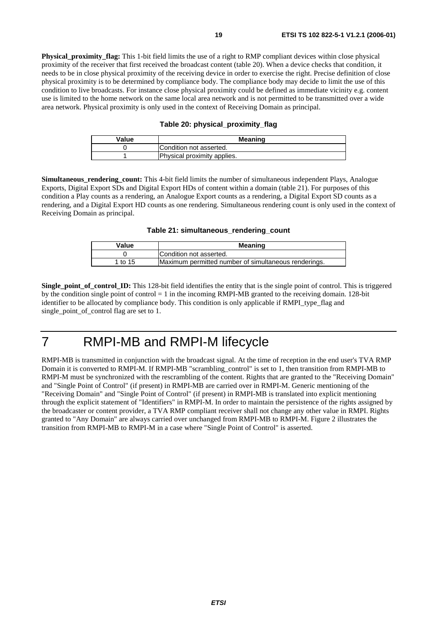**Physical proximity flag:** This 1-bit field limits the use of a right to RMP compliant devices within close physical proximity of the receiver that first received the broadcast content (table 20). When a device checks that condition, it needs to be in close physical proximity of the receiving device in order to exercise the right. Precise definition of close physical proximity is to be determined by compliance body. The compliance body may decide to limit the use of this condition to live broadcasts. For instance close physical proximity could be defined as immediate vicinity e.g. content use is limited to the home network on the same local area network and is not permitted to be transmitted over a wide area network. Physical proximity is only used in the context of Receiving Domain as principal.

#### **Table 20: physical\_proximity\_flag**

| Value | <b>Meaning</b>              |  |
|-------|-----------------------------|--|
|       | Condition not asserted.     |  |
|       | Physical proximity applies. |  |

**Simultaneous rendering count:** This 4-bit field limits the number of simultaneous independent Plays, Analogue Exports, Digital Export SDs and Digital Export HDs of content within a domain (table 21). For purposes of this condition a Play counts as a rendering, an Analogue Export counts as a rendering, a Digital Export SD counts as a rendering, and a Digital Export HD counts as one rendering. Simultaneous rendering count is only used in the context of Receiving Domain as principal.

**Table 21: simultaneous\_rendering\_count**

| Value   | <b>Meaning</b>                                       |  |
|---------|------------------------------------------------------|--|
|         | Condition not asserted.                              |  |
| 1 to 15 | Maximum permitted number of simultaneous renderings. |  |

**Single\_point\_of\_control\_ID:** This 128-bit field identifies the entity that is the single point of control. This is triggered by the condition single point of control = 1 in the incoming RMPI-MB granted to the receiving domain. 128-bit identifier to be allocated by compliance body. This condition is only applicable if RMPI\_type\_flag and single point of control flag are set to 1.

### 7 RMPI-MB and RMPI-M lifecycle

RMPI-MB is transmitted in conjunction with the broadcast signal. At the time of reception in the end user's TVA RMP Domain it is converted to RMPI-M. If RMPI-MB "scrambling\_control" is set to 1, then transition from RMPI-MB to RMPI-M must be synchronized with the rescrambling of the content. Rights that are granted to the "Receiving Domain" and "Single Point of Control" (if present) in RMPI-MB are carried over in RMPI-M. Generic mentioning of the "Receiving Domain" and "Single Point of Control" (if present) in RMPI-MB is translated into explicit mentioning through the explicit statement of "Identifiers" in RMPI-M. In order to maintain the persistence of the rights assigned by the broadcaster or content provider, a TVA RMP compliant receiver shall not change any other value in RMPI. Rights granted to "Any Domain" are always carried over unchanged from RMPI-MB to RMPI-M. Figure 2 illustrates the transition from RMPI-MB to RMPI-M in a case where "Single Point of Control" is asserted.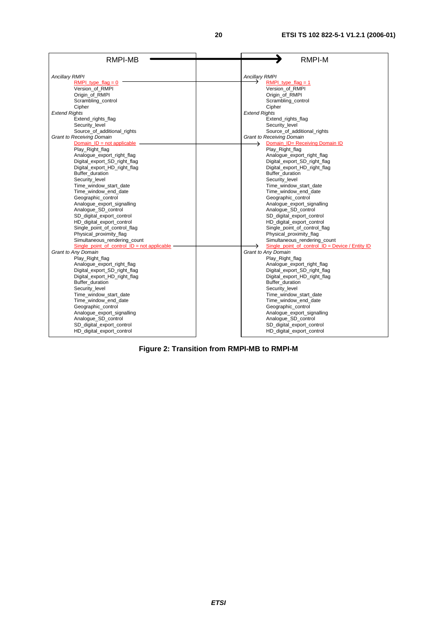| RMPI-MB                                       | <b>RMPI-M</b>                                     |
|-----------------------------------------------|---------------------------------------------------|
| <b>Ancillary RMPI</b>                         | <b>Ancillary RMPI</b>                             |
| RMPI type flag = $0$                          | RMPI type $flag = 1$                              |
| Version of RMPI                               | Version of RMPI                                   |
| Origin of RMPI                                | Origin of RMPI                                    |
| Scrambling control                            | Scrambling control                                |
| Cipher                                        | Cipher                                            |
| <b>Extend Rights</b>                          | <b>Extend Rights</b>                              |
| Extend_rights_flag                            | Extend rights flag                                |
| Security_level                                | Security_level                                    |
| Source_of_additional_rights                   | Source_of_additional_rights                       |
| <b>Grant to Receiving Domain</b>              | <b>Grant to Receiving Domain</b>                  |
| Domain $ID = not applicable$                  | Domain_ID= Receiving Domain ID<br>→               |
| Play_Right_flag                               | Play_Right_flag                                   |
| Analogue_export_right_flag                    | Analogue_export_right_flag                        |
| Digital_export_SD_right_flag                  | Digital_export_SD_right_flag                      |
| Digital_export_HD_right_flag                  | Digital_export_HD_right_flag                      |
| Buffer_duration                               | Buffer duration                                   |
| Security level                                | Security level                                    |
| Time_window_start_date                        | Time_window_start_date                            |
| Time_window_end_date                          | Time_window_end_date                              |
| Geographic control                            | Geographic control                                |
| Analogue_export_signalling                    | Analogue_export_signalling                        |
| Analogue SD control                           | Analogue SD control                               |
| SD_digital_export_control                     | SD_digital_export_control                         |
| HD_digital_export_control                     | HD_digital_export_control                         |
| Single_point_of_control_flag                  | Single point of control flag                      |
| Physical_proximity_flag                       | Physical_proximity_flag                           |
| Simultaneous_rendering_count                  | Simultaneous_rendering_count                      |
| Single point of control $ID = not applicable$ | Single point of control $ID = Device / Entity ID$ |
| Grant to Any Domain                           | Grant to Any Domain                               |
| Play_Right_flag                               | Play_Right_flag                                   |
| Analogue_export_right_flag                    | Analogue_export_right_flag                        |
| Digital_export_SD_right_flag                  | Digital_export_SD_right_flag                      |
| Digital_export_HD_right_flag                  | Digital_export_HD_right_flag                      |
| Buffer duration                               | Buffer duration                                   |
| Security_level                                | Security_level                                    |
| Time_window_start_date                        | Time_window_start_date                            |
| Time_window_end_date                          | Time_window_end_date                              |
| Geographic_control                            | Geographic control                                |
| Analogue_export_signalling                    | Analogue_export_signalling                        |
| Analogue_SD_control                           | Analogue_SD_control                               |
| SD digital export control                     | SD digital export control                         |
| HD_digital_export_control                     | HD_digital_export_control                         |

**Figure 2: Transition from RMPI-MB to RMPI-M**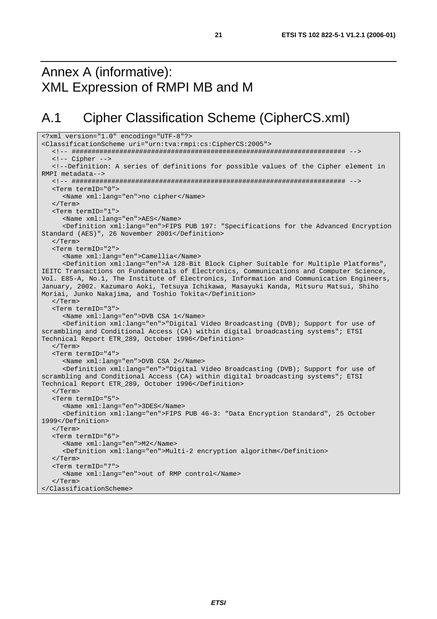### Annex A (informative): XML Expression of RMPI MB and M

# A.1 Cipher Classification Scheme (CipherCS.xml)

```
<?xml version="1.0" encoding="UTF-8"?> 
<ClassificationScheme uri="urn:tva:rmpi:cs:CipherCS:2005"> 
   <!-- ##################################################################### --> 
   <!-- Cipher --> 
   <!--Definition: A series of definitions for possible values of the Cipher element in 
RMPI metadata--> 
   <!-- ##################################################################### --> 
   <Term termID="0"> 
      <Name xml:lang="en">no cipher</Name> 
   </Term> 
   <Term termID="1"> 
      <Name xml:lang="en">AES</Name> 
      <Definition xml:lang="en">FIPS PUB 197: "Specifications for the Advanced Encryption 
Standard (AES)", 26 November 2001</Definition> 
   </Term> 
   <Term termID="2"> 
      <Name xml:lang="en">Camellia</Name> 
      <Definition xml:lang="en">A 128-Bit Block Cipher Suitable for Multiple Platforms", 
IEITC Transactions on Fundamentals of Electronics, Communications and Computer Science, 
Vol. E85-A, No.1, The Institute of Electronics, Information and Communication Engineers, 
January, 2002. Kazumaro Aoki, Tetsuya Ichikawa, Masayuki Kanda, Mitsuru Matsui, Shiho 
Moriai, Junko Nakajima, and Toshio Tokita</Definition> 
   </Term> 
    <Term termID="3"> 
      <Name xml:lang="en">DVB CSA 1</Name> 
      <Definition xml:lang="en">"Digital Video Broadcasting (DVB); Support for use of 
scrambling and Conditional Access (CA) within digital broadcasting systems"; ETSI 
Technical Report ETR_289, October 1996</Definition> 
   </Term> 
   <Term termID="4"> 
      <Name xml:lang="en">DVB CSA 2</Name> 
      <Definition xml:lang="en">"Digital Video Broadcasting (DVB); Support for use of 
scrambling and Conditional Access (CA) within digital broadcasting systems"; ETSI 
Technical Report ETR_289, October 1996</Definition> 
    </Term> 
   <Term termID="5"> 
      <Name xml:lang="en">3DES</Name> 
      <Definition xml:lang="en">FIPS PUB 46-3: "Data Encryption Standard", 25 October 
1999</Definition> 
   </Term> 
   <Term termID="6"> 
      <Name xml:lang="en">M2</Name> 
      <Definition xml:lang="en">Multi-2 encryption algorithm</Definition> 
   </Term> 
    <Term termID="7"> 
      <Name xml:lang="en">out of RMP control</Name> 
    </Term> 
</ClassificationScheme>
```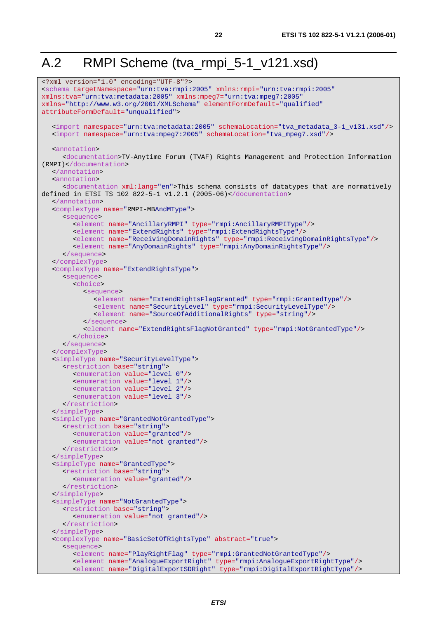# A.2 RMPI Scheme (tva\_rmpi\_5-1\_v121.xsd)

```
<?xml version="1.0" encoding="UTF-8"?> 
<schema targetNamespace="urn:tva:rmpi:2005" xmlns:rmpi="urn:tva:rmpi:2005"
xmlns:tva="urn:tva:metadata:2005" xmlns:mpeg7="urn:tva:mpeg7:2005"
xmlns="http://www.w3.org/2001/XMLSchema" elementFormDefault="qualified"
attributeFormDefault="unqualified"> 
    <import namespace="urn:tva:metadata:2005" schemaLocation="tva_metadata_3-1_v131.xsd"/> 
   <import namespace="urn:tva:mpeg7:2005" schemaLocation="tva_mpeg7.xsd"/> 
   <annotation> 
      <documentation>TV-Anytime Forum (TVAF) Rights Management and Protection Information 
(RMPI)</documentation> 
   </annotation> 
    <annotation> 
      <documentation xml:lang="en">This schema consists of datatypes that are normatively 
defined in ETSI TS 102 822-5-1 v1.2.1 (2005-06)</documentation> 
   </annotation> 
   <complexType name="RMPI-MBAndMType"> 
      <sequence> 
         <element name="AncillaryRMPI" type="rmpi:AncillaryRMPIType"/> 
         <element name="ExtendRights" type="rmpi:ExtendRightsType"/> 
 <element name="ReceivingDomainRights" type="rmpi:ReceivingDomainRightsType"/> 
 <element name="AnyDomainRights" type="rmpi:AnyDomainRightsType"/> 
      </sequence> 
   </complexType> 
   <complexType name="ExtendRightsType"> 
      <sequence> 
         <choice> 
            <sequence> 
               <element name="ExtendRightsFlagGranted" type="rmpi:GrantedType"/> 
               <element name="SecurityLevel" type="rmpi:SecurityLevelType"/> 
               <element name="SourceOfAdditionalRights" type="string"/> 
            </sequence> 
            <element name="ExtendRightsFlagNotGranted" type="rmpi:NotGrantedType"/> 
         </choice> 
      </sequence> 
   </complexType> 
   <simpleType name="SecurityLevelType"> 
      <restriction base="string"> 
         <enumeration value="level 0"/> 
         <enumeration value="level 1"/> 
         <enumeration value="level 2"/> 
         <enumeration value="level 3"/> 
      </restriction> 
   </simpleType> 
   <simpleType name="GrantedNotGrantedType"> 
      <restriction base="string"> 
         <enumeration value="granted"/> 
         <enumeration value="not granted"/> 
      </restriction> 
   </simpleType> 
   <simpleType name="GrantedType"> 
      <restriction base="string"> 
         <enumeration value="granted"/> 
      </restriction> 
   </simpleType> 
   <simpleType name="NotGrantedType"> 
      <restriction base="string"> 
         <enumeration value="not granted"/> 
      </restriction> 
   </simpleType> 
   <complexType name="BasicSetOfRightsType" abstract="true"> 
      <sequence> 
         <element name="PlayRightFlag" type="rmpi:GrantedNotGrantedType"/> 
         <element name="AnalogueExportRight" type="rmpi:AnalogueExportRightType"/> 
         <element name="DigitalExportSDRight" type="rmpi:DigitalExportRightType"/>
```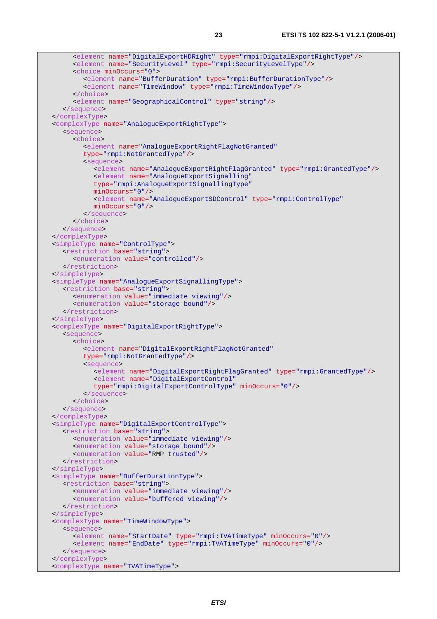```
 <element name="DigitalExportHDRight" type="rmpi:DigitalExportRightType"/> 
      <element name="SecurityLevel" type="rmpi:SecurityLevelType"/> 
      <choice minOccurs="0"> 
         <element name="BufferDuration" type="rmpi:BufferDurationType"/> 
         <element name="TimeWindow" type="rmpi:TimeWindowType"/> 
       </choice> 
      <element name="GeographicalControl" type="string"/> 
    </sequence> 
 </complexType> 
 <complexType name="AnalogueExportRightType"> 
    <sequence> 
      <choice> 
         <element name="AnalogueExportRightFlagNotGranted" 
         type="rmpi:NotGrantedType"/> 
         <sequence> 
            <element name="AnalogueExportRightFlagGranted" type="rmpi:GrantedType"/> 
            <element name="AnalogueExportSignalling" 
            type="rmpi:AnalogueExportSignallingType" 
            minOccurs="0"/> 
            <element name="AnalogueExportSDControl" type="rmpi:ControlType" 
            minOccurs="0"/> 
         </sequence> 
      </choice> 
    </sequence> 
 </complexType> 
 <simpleType name="ControlType"> 
    <restriction base="string"> 
      <enumeration value="controlled"/> 
    </restriction> 
 </simpleType> 
 <simpleType name="AnalogueExportSignallingType"> 
    <restriction base="string"> 
      <enumeration value="immediate viewing"/> 
      <enumeration value="storage bound"/> 
    </restriction> 
 </simpleType> 
 <complexType name="DigitalExportRightType"> 
    <sequence> 
      <choice> 
         <element name="DigitalExportRightFlagNotGranted" 
         type="rmpi:NotGrantedType"/> 
         <sequence> 
            <element name="DigitalExportRightFlagGranted" type="rmpi:GrantedType"/> 
            <element name="DigitalExportControl" 
            type="rmpi:DigitalExportControlType" minOccurs="0"/> 
         </sequence> 
      </choice> 
    </sequence> 
 </complexType> 
 <simpleType name="DigitalExportControlType"> 
    <restriction base="string"> 
      <enumeration value="immediate viewing"/> 
      <enumeration value="storage bound"/> 
      <enumeration value="RMP trusted"/> 
    </restriction> 
 </simpleType> 
 <simpleType name="BufferDurationType"> 
    <restriction base="string"> 
      <enumeration value="immediate viewing"/> 
      <enumeration value="buffered viewing"/> 
    </restriction> 
 </simpleType> 
 <complexType name="TimeWindowType"> 
   <sequence> 
      <element name="StartDate" type="rmpi:TVATimeType" minOccurs="0"/> 
      <element name="EndDate" type="rmpi:TVATimeType" minOccurs="0"/> 
    </sequence> 
 </complexType> 
 <complexType name="TVATimeType">
```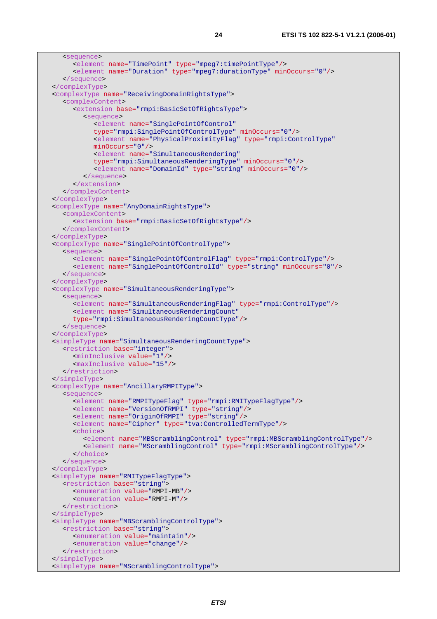```
 <sequence> 
      <element name="TimePoint" type="mpeg7:timePointType"/> 
      <element name="Duration" type="mpeg7:durationType" minOccurs="0"/> 
    </sequence> 
 </complexType> 
 <complexType name="ReceivingDomainRightsType"> 
    <complexContent> 
      <extension base="rmpi:BasicSetOfRightsType"> 
         <sequence> 
            <element name="SinglePointOfControl" 
            type="rmpi:SinglePointOfControlType" minOccurs="0"/> 
            <element name="PhysicalProximityFlag" type="rmpi:ControlType" 
            minOccurs="0"/> 
            <element name="SimultaneousRendering" 
            type="rmpi:SimultaneousRenderingType" minOccurs="0"/> 
            <element name="DomainId" type="string" minOccurs="0"/> 
         </sequence> 
      </extension> 
    </complexContent> 
 </complexType> 
 <complexType name="AnyDomainRightsType"> 
    <complexContent> 
      <extension base="rmpi:BasicSetOfRightsType"/> 
   </complexContent> 
 </complexType> 
 <complexType name="SinglePointOfControlType"> 
    <sequence> 
      <element name="SinglePointOfControlFlag" type="rmpi:ControlType"/> 
      <element name="SinglePointOfControlId" type="string" minOccurs="0"/> 
    </sequence> 
 </complexType> 
 <complexType name="SimultaneousRenderingType"> 
    <sequence> 
      <element name="SimultaneousRenderingFlag" type="rmpi:ControlType"/> 
      <element name="SimultaneousRenderingCount" 
      type="rmpi:SimultaneousRenderingCountType"/> 
    </sequence> 
 </complexType> 
 <simpleType name="SimultaneousRenderingCountType"> 
    <restriction base="integer"> 
      <minInclusive value="1"/> 
      <maxInclusive value="15"/> 
    </restriction> 
 </simpleType> 
 <complexType name="AncillaryRMPIType"> 
    <sequence> 
      <element name="RMPITypeFlag" type="rmpi:RMITypeFlagType"/> 
      <element name="VersionOfRMPI" type="string"/> 
      <element name="OriginOfRMPI" type="string"/> 
      <element name="Cipher" type="tva:ControlledTermType"/> 
      <choice> 
         <element name="MBScramblingControl" type="rmpi:MBScramblingControlType"/> 
         <element name="MScramblingControl" type="rmpi:MScramblingControlType"/> 
      </choice> 
    </sequence> 
 </complexType> 
 <simpleType name="RMITypeFlagType"> 
   <restriction base="string"> 
      <enumeration value="RMPI-MB"/> 
      <enumeration value="RMPI-M"/> 
    </restriction> 
 </simpleType> 
 <simpleType name="MBScramblingControlType"> 
   <restriction base="string"> 
      <enumeration value="maintain"/> 
      <enumeration value="change"/> 
   </restriction> 
 </simpleType> 
 <simpleType name="MScramblingControlType">
```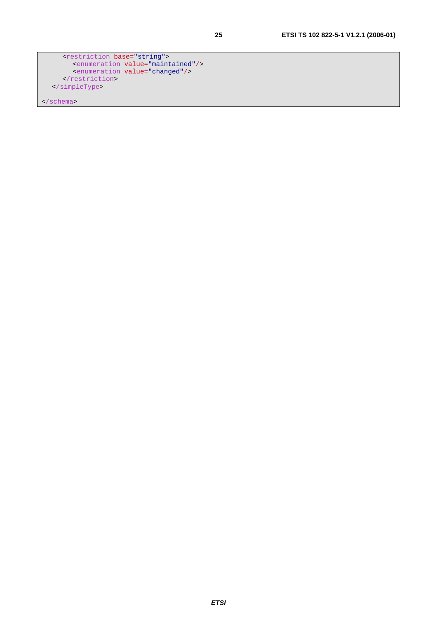```
 <restriction base="string"> 
 <enumeration value="maintained"/> 
        <enumeration value="changed"/> 
    \langle /restriction>
   </simpleType>
```
</schema>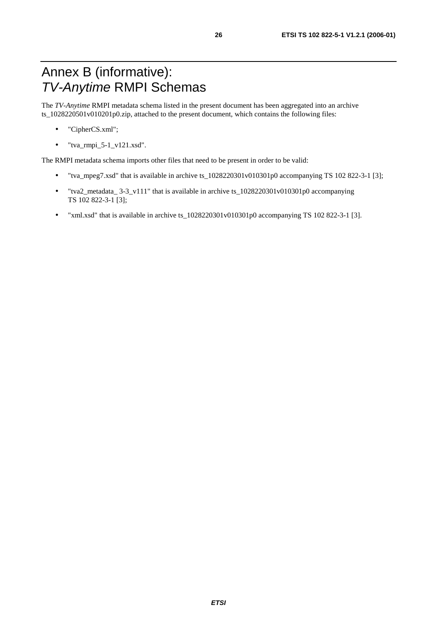The *TV-Anytime* RMPI metadata schema listed in the present document has been aggregated into an archive ts\_1028220501v010201p0.zip, attached to the present document, which contains the following files:

- "CipherCS.xml";
- $\bullet$  "tva\_rmpi\_5-1\_v121.xsd".

The RMPI metadata schema imports other files that need to be present in order to be valid:

- "tva\_mpeg7.xsd" that is available in archive ts  $1028220301v010301p0$  accompanying TS 102 822-3-1 [3];
- "tva2\_metadata\_ 3-3\_v111" that is available in archive ts\_1028220301v010301p0 accompanying TS 102 822-3-1 [3];
- "xml.xsd" that is available in archive ts\_1028220301v010301p0 accompanying TS 102 822-3-1 [3].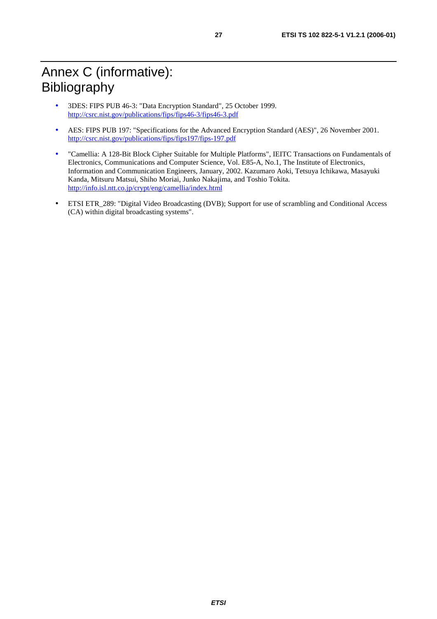- 3DES: FIPS PUB 46-3: "Data Encryption Standard", 25 October 1999. <http://csrc.nist.gov/publications/fips/fips46-3/fips46-3.pdf>
- AES: FIPS PUB 197: "Specifications for the Advanced Encryption Standard (AES)", 26 November 2001. <http://csrc.nist.gov/publications/fips/fips197/fips-197.pdf>
- "Camellia: A 128-Bit Block Cipher Suitable for Multiple Platforms", IEITC Transactions on Fundamentals of Electronics, Communications and Computer Science, Vol. E85-A, No.1, The Institute of Electronics, Information and Communication Engineers, January, 2002. Kazumaro Aoki, Tetsuya Ichikawa, Masayuki Kanda, Mitsuru Matsui, Shiho Moriai, Junko Nakajima, and Toshio Tokita. <http://info.isl.ntt.co.jp/crypt/eng/camellia/index.html>
- ETSI ETR\_289: "Digital Video Broadcasting (DVB); Support for use of scrambling and Conditional Access (CA) within digital broadcasting systems".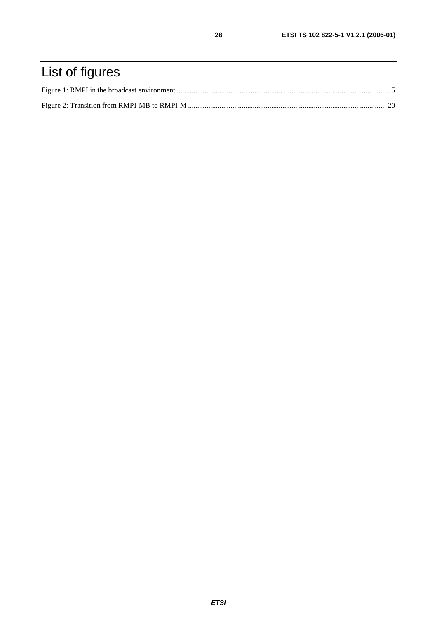# List of figures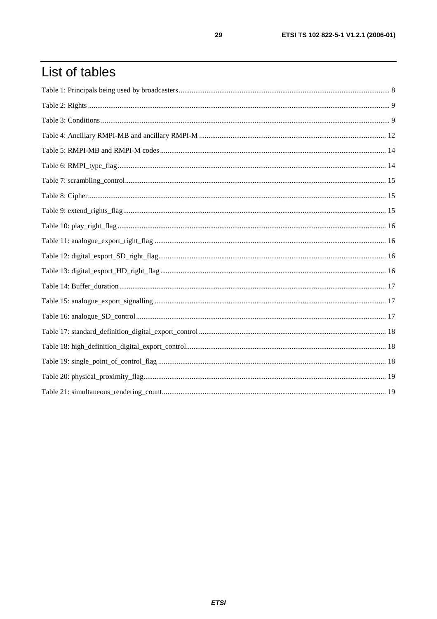# List of tables